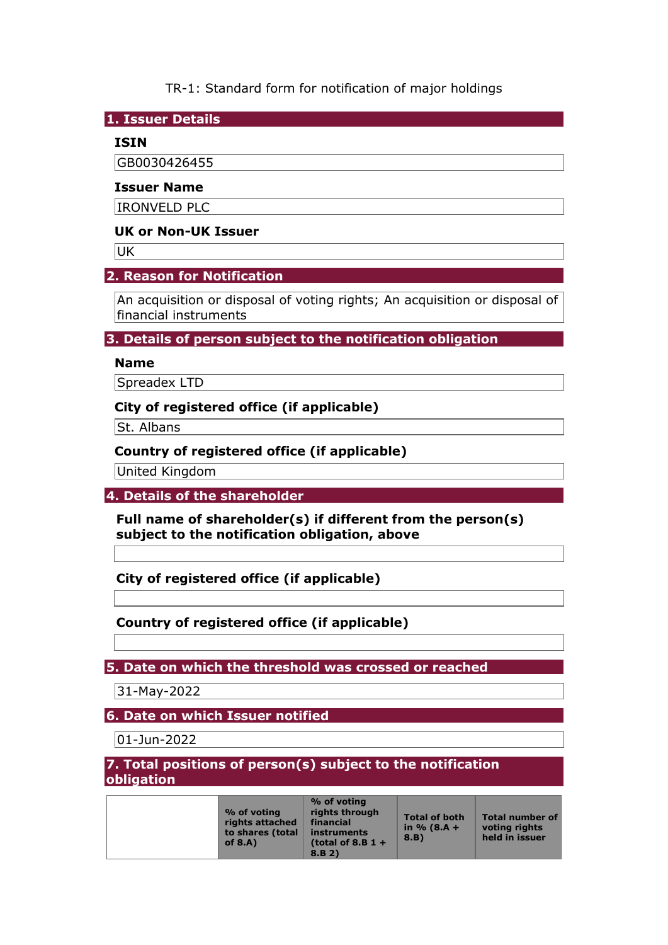TR-1: Standard form for notification of major holdings

**1. Issuer Details** 

### **ISIN**

GB0030426455

### **Issuer Name**

IRONVELD PLC

### **UK or Non-UK Issuer**

**UK** 

# **2. Reason for Notification**

An acquisition or disposal of voting rights; An acquisition or disposal of financial instruments

# **3. Details of person subject to the notification obligation**

## **Name**

Spreadex LTD

## **City of registered office (if applicable)**

St. Albans

# **Country of registered office (if applicable)**

United Kingdom

**4. Details of the shareholder** 

**Full name of shareholder(s) if different from the person(s) subject to the notification obligation, above** 

**City of registered office (if applicable)** 

# **Country of registered office (if applicable)**

**5. Date on which the threshold was crossed or reached** 

31-May-2022

**6. Date on which Issuer notified** 

01-Jun-2022

### **7. Total positions of person(s) subject to the notification obligation**

| % of voting<br>rights attached<br>to shares (total<br>of $8.A$ ) | % of voting<br>rights through<br>financial<br>instruments<br>(total of 8.B $1 +$ | <b>Total of both</b><br>in $% (8.A +$<br>8.B) | <b>Total number of</b><br>voting rights<br>held in issuer |
|------------------------------------------------------------------|----------------------------------------------------------------------------------|-----------------------------------------------|-----------------------------------------------------------|
|                                                                  | 8.B.2)                                                                           |                                               |                                                           |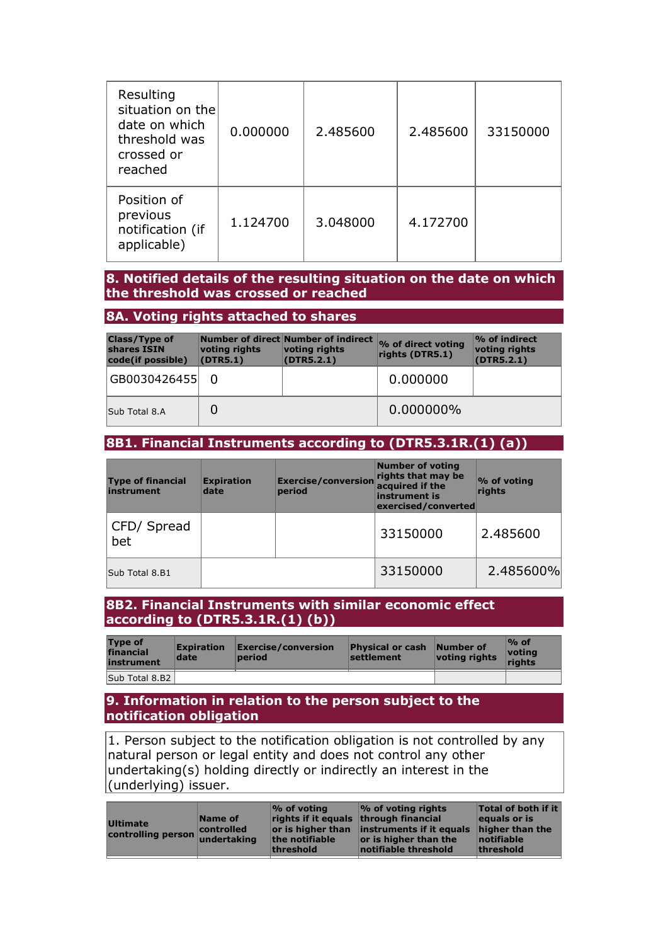| Resulting<br>situation on the<br>date on which<br>threshold was<br>crossed or<br>reached | 0.000000 | 2.485600 | 2.485600 | 33150000 |
|------------------------------------------------------------------------------------------|----------|----------|----------|----------|
| Position of<br>previous<br>notification (if<br>applicable)                               | 1.124700 | 3.048000 | 4.172700 |          |

### **8. Notified details of the resulting situation on the date on which the threshold was crossed or reached**

### **8A. Voting rights attached to shares**

| <b>Class/Type of</b><br>shares ISIN<br>code(if possible) | voting rights<br>(DTR5.1) | Number of direct Number of indirect<br>voting rights<br>(DTR5.2.1) | % of direct voting<br>rights (DTR5.1) | % of indirect<br>voting rights<br>(DTR5.2.1) |
|----------------------------------------------------------|---------------------------|--------------------------------------------------------------------|---------------------------------------|----------------------------------------------|
| GB0030426455                                             |                           |                                                                    | 0.000000                              |                                              |
| Sub Total 8.A                                            |                           |                                                                    | 0.000000%                             |                                              |

# **8B1. Financial Instruments according to (DTR5.3.1R.(1) (a))**

| <b>Type of financial</b><br>instrument | <b>Expiration</b><br>date | <b>Exercise/conversion</b><br>period | <b>Number of voting</b><br>rights that may be<br>acquired if the<br>instrument is<br>exercised/converted | % of voting<br>riahts |
|----------------------------------------|---------------------------|--------------------------------------|----------------------------------------------------------------------------------------------------------|-----------------------|
| CFD/ Spread<br>bet                     |                           |                                      | 33150000                                                                                                 | 2.485600              |
| Sub Total 8.B1                         |                           |                                      | 33150000                                                                                                 | 2.485600%             |

### **8B2. Financial Instruments with similar economic effect according to (DTR5.3.1R.(1) (b))**

| <b>Type of</b><br>financial<br>instrument | <b>Expiration</b><br>date | $\mathsf{Exercise}/\mathsf{conversion}$<br>period | <b>Physical or cash</b><br>settlement | Number of<br>voting rights | $\%$ of<br>votina<br>riahts |
|-------------------------------------------|---------------------------|---------------------------------------------------|---------------------------------------|----------------------------|-----------------------------|
| Sub Total 8.B2                            |                           |                                                   |                                       |                            |                             |

### **9. Information in relation to the person subject to the notification obligation**

1. Person subject to the notification obligation is not controlled by any natural person or legal entity and does not control any other undertaking(s) holding directly or indirectly an interest in the (underlying) issuer.

| <b>Ultimate</b><br>or is higher than instruments if it equals<br>controlled<br>higher than the<br>controlling person<br>undertaking<br>the notifiable<br>notifiable<br>or is higher than the<br>notifiable threshold<br>threshold<br>threshold |
|------------------------------------------------------------------------------------------------------------------------------------------------------------------------------------------------------------------------------------------------|
|------------------------------------------------------------------------------------------------------------------------------------------------------------------------------------------------------------------------------------------------|